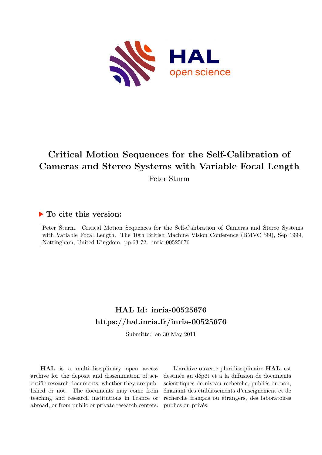

# **Critical Motion Sequences for the Self-Calibration of Cameras and Stereo Systems with Variable Focal Length**

Peter Sturm

# **To cite this version:**

Peter Sturm. Critical Motion Sequences for the Self-Calibration of Cameras and Stereo Systems with Variable Focal Length. The 10th British Machine Vision Conference (BMVC '99), Sep 1999, Nottingham, United Kingdom. pp.63-72. inria-00525676

# **HAL Id: inria-00525676 <https://hal.inria.fr/inria-00525676>**

Submitted on 30 May 2011

**HAL** is a multi-disciplinary open access archive for the deposit and dissemination of scientific research documents, whether they are published or not. The documents may come from teaching and research institutions in France or abroad, or from public or private research centers.

L'archive ouverte pluridisciplinaire **HAL**, est destinée au dépôt et à la diffusion de documents scientifiques de niveau recherche, publiés ou non, émanant des établissements d'enseignement et de recherche français ou étrangers, des laboratoires publics ou privés.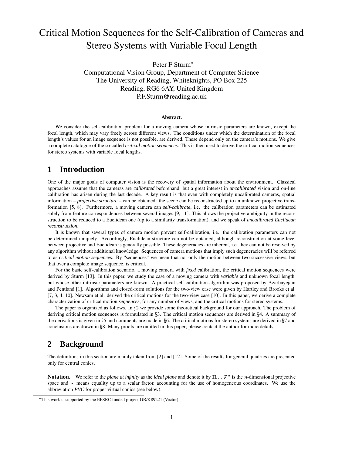# Critical Motion Sequences for the Self-Calibration of Cameras and Stereo Systems with Variable Focal Length

Peter F Sturm Computational Vision Group, Department of Computer Science The University of Reading, Whiteknights, PO Box 225 Reading, RG6 6AY, United Kingdom P.F.Sturm@reading.ac.uk

#### **Abstract.**

We consider the self-calibration problem for a moving camera whose intrinsic parameters are known, except the focal length, which may vary freely across different views. The conditions under which the determination of the focal length's values for an image sequence is not possible, are derived. These depend only on the camera's motions. We give a complete catalogue of the so-called *critical motion sequences*. This is then used to derive the critical motion sequences for stereo systems with variable focal lengths.

## **1 Introduction**

One of the major goals of computer vision is the recovery of spatial information about the environment. Classical approaches assume that the cameras are *calibrated* beforehand, but a great interest in *uncalibrated* vision and on-line calibration has arisen during the last decade. A key result is that even with completely uncalibrated cameras, spatial information – *projective structure* – can be obtained: the scene can be reconstructed up to an unknown projective transformation [5, 8]. Furthermore, a moving camera can *self-calibrate*, i.e. the calibration parameters can be estimated solely from feature correspondences between several images [9, 11]. This allows the projective ambiguity in the reconstruction to be reduced to a Euclidean one (up to a similarity transformation), and we speak of *uncalibrated Euclidean reconstruction*.

It is known that several types of camera motion prevent self-calibration, i.e. the calibration parameters can not be determined uniquely. Accordingly, Euclidean structure can not be obtained, although reconstruction at some level between projective and Euclidean is generally possible. These degeneracies are inherent, i.e. they can not be resolved by any algorithm without additional knowledge. Sequences of camera motions that imply such degeneracies will be referred to as *critical motion sequences*. By "sequences" we mean that not only the motion between two successive views, but that over a complete image sequence, is critical.

For the basic self-calibration scenario, a moving camera with *fixed* calibration, the critical motion sequences were derived by Sturm [13]. In this paper, we study the case of a moving camera with *variable* and unknown focal length, but whose other intrinsic parameters are known. A practical self-calibration algorithm was proposed by Azarbayejani and Pentland [1]. Algorithms and closed-form solutions for the two-view case were given by Hartley and Brooks et al. [7, 3, 4, 10]. Newsam et al. derived the critical motions for the two-view case [10]. In this paper, we derive a complete characterization of critical motion *sequences*, for any number of views, and the critical motions for stereo systems.

The paper is organized as follows. In  $\S 2$  we provide some theoretical background for our approach. The problem of deriving critical motion sequences is formulated in §3. The critical motion sequences are derived in §4. A summary of the derivations is given in §5 and comments are made in §6. The critical motions for stereo systems are derived in §7 and conclusions are drawn in 8. Many proofs are omitted in this paper; please contact the author for more details.

# **2 Background**

The definitions in this section are mainly taken from [2] and [12]. Some of the results for general quadrics are presented only for central conics.

**Notation.** We refer to the *plane* at *infinity* as the *ideal plane* and denote it by  $\Pi_{\infty}$ .  $\mathcal{P}^n$  is the *n*-dimensional projective space and  $\sim$  means equality up to a scalar factor, accounting for the use of homogeneous coordinates. We use the abbreviation *PVC* for proper virtual conics (see below).

 This work is supported by the EPSRC funded project GR/K89221 (Vector).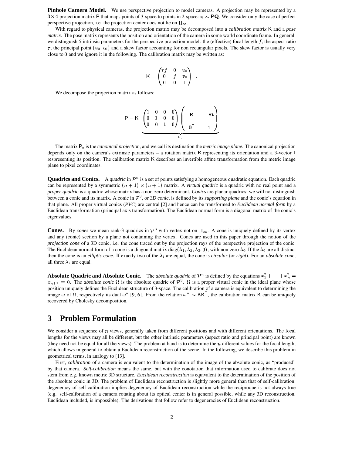**Pinhole Camera Model.** We use perspective projection to model cameras. A projection may be represented by a  $3 \times 4$  projection matrix P that maps points of 3-space to points in 2-space:  $\mathbf{q} \sim \mathbf{PQ}$ . We consider only the case of perfect perspective projection, i.e. the projection center does not lie on  $\Pi_{\infty}$ .

With regard to physical cameras, the projection matrix may be decomposed into a *calibration matrix* K and a *pose matrix*. The pose matrix represents the position and orientation of the camera in some world coordinate frame. In general, we distinguish 5 intrinsic parameters for the perspective projection model: the (effective) focal length  $f$ , the aspect ratio  $\tau$ , the principal point  $(u_0, v_0)$  and a skew factor accounting for non rectangular pixels. The skew factor is usually very close to  $0$  and we ignore it in the following. The calibration matrix may be written as:

$$
\mathsf{K} = \begin{pmatrix} \tau f & 0 & u_0 \\ 0 & f & v_0 \\ 0 & 0 & 1 \end{pmatrix} .
$$

We decompose the projection matrix as follows:

$$
P = K \underbrace{\begin{pmatrix} 1 & 0 & 0 & 0 \\ 0 & 1 & 0 & 0 \\ 0 & 0 & 1 & 0 \end{pmatrix}}_{P_c} \begin{pmatrix} R & -Rt \\ 0 & 1 \end{pmatrix}
$$

The matrix  $P_c$  is the *canonical projection*, and we call its destination the *metric image* plane. The canonical projection depends only on the camera's extrinsic parameters – a rotation matrix R representing its orientation and a 3-vector  $t$ respresenting its position. The calibration matrix K describes an invertible affine transformation from the metric image plane to pixel coordinates.

**Quadrics and Conics.** A *quadric* in  $\mathcal{P}^n$  is a set of points satisfying a homogeneous quadratic equation. Each quadric can be represented by a symmetric  $(n + 1) \times (n + 1)$  matrix. A *virtual quadric* is a quadric with no real point and a *proper quadric* is a quadric whose matrix has a non-zero determinant. *Conics* are planar quadrics; we will not distinguish between a conic and its matrix. A conic in  $\mathcal{P}^3$ , or *3D conic*, is defined by its *supporting plane* and the conic's equation in that plane. All proper virtual conics (*PVC*) are central [2] and hence can be transformed to *Euclidean normal form* by a Euclidean transformation (principal axis transformation). The Euclidean normal form is a diagonal matrix of the conic's eigenvalues.

**Cones.** By *cones* we mean rank-3 quadrics in  $\mathcal{P}^3$  with vertex not on  $\Pi_{\infty}$ . A cone is uniquely defined by its vertex and any (conic) section by a plane not containing the vertex. Cones are used in this paper through the notion of the *projection cone* of a 3D conic, i.e. the cone traced out by the projection rays of the perspective projection of the conic. The Euclidean normal form of a cone is a diagonal matrix  $diag(\lambda_1, \lambda_2, \lambda_3, 0)$ , with non-zero  $\lambda_i$ . If the  $\lambda_i$  are all distinct then the cone is an *elliptic cone*. If exactly two of the  $\lambda_i$  are equal, the cone is *circular* (or *right*). For an *absolute cone*, all three  $\lambda_i$  are equal.

**Absolute Quadric and Absolute Conic.** The *absolute quadric* of  $\mathcal{P}^n$  is defined by the equations  $x_1^2 + \cdots + x_n^2$ **Absolute Quadric and Absolute Conic.** The *absolute quadric* of P<sup>n</sup> is defined by the equations  $x_1^2 + \cdots + x_n^2 = x_{n+1} = 0$ . The *absolute conic*  $\Omega$  is the absolute quadric of  $\mathcal{P}^3$ .  $\Omega$  is a proper virtual conic position uniquely defines the Euclidean structure of 3-space. The calibration of a camera is equivalent to determining the image  $\omega$  of  $\Omega$ , respectively its dual  $\omega^*$  [9, 6]. From the relation  $\omega^* \sim KK^{\perp}$ , the calibration matrix K can be uniquely recovered by Cholesky decomposition.

## **3 Problem Formulation**

We consider a sequence of  $n$  views, generally taken from different positions and with different orientations. The focal lengths for the views may all be different, but the other intrinsic parameters (aspect ratio and principal point) are known (they need not be equal for all the views). The problem at hand is to determine the  $n$  different values for the focal length, which allows in general to obtain a Euclidean reconstruction of the scene. In the following, we describe this problem in geometrical terms, in analogy to [13].

First, *calibration* of a camera is equivalent to the determination of the image of the absolute conic, as "produced" by that camera. *Self-calibration* means the same, but with the conotation that information used to calibrate does not stem from e.g. known metric 3D structure. *Euclidean reconstruction* is equivalent to the determination of the position of the absolute conic in 3D. The problem of Euclidean reconstruction is slightly more general than that of self-calibration: degeneracy of self-calibration implies degeneracy of Euclidean reconstruction while the reciproque is not always true (e.g. self-calibration of a camera rotating about its optical center is in general possible, while any 3D reconstruction, Euclidean included, is impossible). The derivations that follow refer to degeneracies of Euclidean reconstruction.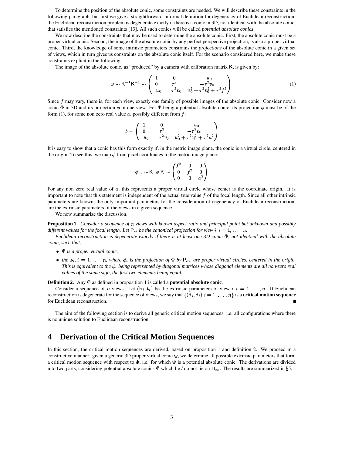To determine the position of the absolute conic, some constraints are needed. We will describe these constraints in the following paragraph, but first we give a straightforward informal definition for degeneracy of Euclidean reconstruction: the Euclidean reconstruction problem is degenerate exactly if there is a conic in 3D, not identical with the absolute conic, that satisfies the mentioned constraints [13]. All such conics will be called *potential absolute conics*.

We now describe the constraints that may be used to determine the absolute conic. First, the absolute conic must be a proper virtual conic. Second, the image of the absolute conic by any perfect perspective projection, is also a proper virtual conic. Third, the knowledge of some intrinsic parameters constrains the *projections* of the absolute conic in a given set of views, which in turn gives us constraints on the absolute conic itself. For the scenario considered here, we make these constraints explicit in the following.

The image of the absolute conic, as "produced" by a camera with calibration matrix K, is given by:

$$
\omega \sim K^{-T} K^{-1} \sim \begin{pmatrix} 1 & 0 & -u_0 \\ 0 & \tau^2 & -\tau^2 v_0 \\ -u_0 & -\tau^2 v_0 & u_0^2 + \tau^2 v_0^2 + \tau^2 f^2 \end{pmatrix}
$$
(1)

Since  $f$  may vary, there is, for each view, exactly one family of possible images of the absolute conic. Consider now a conic  $\Phi$  in 3D and its projection  $\phi$  in one view. For  $\Phi$  being a potential absolute conic, its projection  $\phi$  must be of the form (1), for some non zero real value  $a$ , possibly different from  $f$ :

$$
\phi \sim \begin{pmatrix} 1 & 0 & -u_0 \\ 0 & \tau^2 & -\tau^2 v_0 \\ -u_0 & -\tau^2 v_0 & u_0^2 + \tau^2 v_0^2 + \tau^2 a^2 \end{pmatrix}
$$

It is easy to show that a conic has this form exactly if, in the metric image plane, the conic is a virtual circle, centered in the origin. To see this, we map  $\phi$  from pixel coordinates to the metric image plane:

$$
\phi_m \thicksim \mathsf{K}^\mathsf{T} \phi \; \mathsf{K} \thicksim \begin{pmatrix} f^2 & 0 & 0 \\ 0 & f^2 & 0 \\ 0 & 0 & a^2 \end{pmatrix}
$$

For any non zero real value of  $a$ , this represents a proper virtual circle whose center is the coordinate origin. It is important to note that this statement is independent of the actual true value  $f$  of the focal length. Since all other intrinsic parameters are known, the only important parameters for the consideration of degeneracy of Euclidean reconstruction, are the extrinsic parameters of the views in a given sequence.

We now summarize the discussion.

**Proposition 1.** Consider a sequence of n views with known aspect ratio and principal point but unknown and possibly different values for the focal length. Let  $P_{ci}$  be the canonical projection for view  $i, i = 1, ..., n$ .

Euclidean reconstruction is degenerate exactly if there is at least one 3D conic  $\Phi$ , not identical with the absolute *conic, such that:*

- **•**  $\Phi$  *is a proper virtual conic.*
- the  $\phi_i$ ,  $i = 1, \ldots, n$ , where  $\phi_i$  is the projection of  $\Phi$  by  $P_{ci}$ , are proper virtual circles, centered in the origin. This is equivalent to the  $\phi_i$  being represented by diagonal matrices whose diagonal elements are all non-zero real *values of the same sign, the first two elements being equal.*

**Definition 2.** Any as defined in proposition 1 is called a **potential absolute conic**.

**inition 2.** Any  $\Phi$  as defined in proposition 1 is called a **potential absolute conic**.<br>Consider a sequence of *n* views. Let  $(R_i, t_i)$  be the extrinsic parameters of view  $i, i = 1, ..., n$ . If Euclidean reconstruction is degenerate for the sequence of views, we say that  $\{(\mathsf{R}_i, \mathsf{t}_i)|i=1, \}$ meters of view  $i, i = 1, ..., n$ . If Euclidean  $i$ ,  $|i = 1, ..., n$  is a **critical motion sequence** for Euclidean reconstruction.

The aim of the following section is to derive all generic critical motion sequences, i.e. all configurations where there is no unique solution to Euclidean reconstruction.

# **4 Derivation of the Critical Motion Sequences**

In this section, the critical motion sequences are derived, based on proposition 1 and definition 2. We proceed in a constructive manner: given a generic 3D proper virtual conic  $\Phi$ , we determine all possible extrinsic parameters that form a critical motion sequence with respect to  $\Phi$ , i.e. for which  $\Phi$  is a potential absolute conic. The derivations are divided into two parts, considering potential absolute conics  $\Phi$  which lie / do not lie on  $\Pi_{\infty}$ . The results are summarized in §5.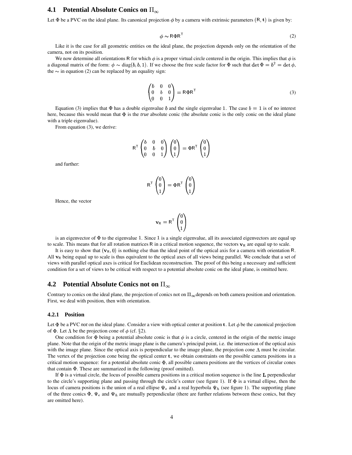### **4.1 • Potential Absolute Conics on**  $\Pi_\infty$

Let  $\Phi$  be a PVC on the ideal plane. Its canonical projection  $\phi$  by a camera with extrinsic parameters  $(R, t)$  is given by:

$$
\phi \sim \mathsf{R} \Phi \mathsf{R}^{\mathsf{T}} \tag{2}
$$

Like it is the case for all geometric entities on the ideal plane, the projection depends only on the orientation of the camera, not on its position.

We now determine all orientations R for which  $\phi$  is a proper virtual circle centered in the origin. This implies that  $\phi$  is a diagonal matrix of the form:  $\phi \sim \text{diag}(b, b, 1)$ . If we choose the free scale factor for  $\Phi$  such that  $\det \Phi = b^2 = \det \phi$ , the  $\sim$  in equation (2) can be replaced by an equality sign:

$$
\begin{pmatrix} b & 0 & 0 \\ 0 & b & 0 \\ 0 & 0 & 1 \end{pmatrix} = R\Phi R^{T}
$$
\n(3)

Equation (3) implies that  $\Phi$  has a double eigenvalue b and the single eigenvalue 1. The case  $b=1$  is of no interest here, because this would mean that  $\Phi$  is the *true* absolute conic (the absolute conic is the only conic on the ideal plane with a triple eigenvalue).

From equation (3), we derive:

$$
\mathsf{R}^\mathsf{T} \begin{pmatrix} b & 0 & 0 \\ 0 & b & 0 \\ 0 & 0 & 1 \end{pmatrix} \begin{pmatrix} 0 \\ 0 \\ 1 \end{pmatrix} = \Phi \mathsf{R}^\mathsf{T} \begin{pmatrix} 0 \\ 0 \\ 1 \end{pmatrix}
$$

and further:

$$
\mathsf{R}^\mathsf{T} \begin{pmatrix} 0 \\ 0 \\ 1 \end{pmatrix} = \Phi \mathsf{R}^\mathsf{T} \begin{pmatrix} 0 \\ 0 \\ 1 \end{pmatrix}
$$

Hence, the vector

$$
\mathbf{v}_{\mathsf{R}} = \mathsf{R}^{\mathsf{T}} \begin{pmatrix} 0 \\ 0 \\ 1 \end{pmatrix}
$$

is an eigenvector of  $\Phi$  to the eigenvalue 1. Since 1 is a single eigenvalue, all its associated eigenvectors are equal up to scale. This means that for all rotation matrices R in a critical motion sequence, the vectors  $\mathbf{v}_R$  are equal up to scale.

It is easy to show that  $(\mathbf{v}_R, 0)$  is nothing else than the ideal point of the optical axis for a camera with orientation R. All  $\bf{v}_R$  being equal up to scale is thus equivalent to the optical axes of all views being parallel. We conclude that a set of views with parallel optical axes is critical for Euclidean reconstruction. The proof of this being a necessary and sufficient condition for a set of views to be critical with respect to a potential absolute conic on the ideal plane, is omitted here.

### **4.2** • Potential Absolute Conics not on  $\Pi_{\infty}$

Contrary to conics on the ideal plane, the projection of conics not on  $\Pi_{\infty}$  depends on both camera position and orientation. First, we deal with position, then with orientation.

#### **4.2.1 Position**

Let  $\Phi$  be a PVC *not* on the ideal plane. Consider a view with optical center at position **t**. Let  $\phi$  be the canonical projection of  $\Phi$ . Let  $\Lambda$  be the projection cone of  $\phi$  (cf. §2).

One condition for  $\Phi$  being a potential absolute conic is that  $\phi$  is a circle, centered in the origin of the metric image plane. Note that the origin of the metric image plane is the camera's principal point, i.e. the intersection of the optical axis with the image plane. Since the optical axis is perpendicular to the image plane, the projection cone  $\Lambda$  must be circular. The vertex of the projection cone being the optical center  $t$ , we obtain constraints on the possible camera positions in a critical motion sequence: for a potential absolute conic  $\Phi$ , all possible camera positions are the vertices of circular cones that contain  $\Phi$ . These are summarized in the following (proof omitted).

If  $\Phi$  is a virtual circle, the locus of possible camera positions in a critical motion sequence is the line  $\bf{L}$  perpendicular to the circle's supporting plane and passing through the circle's center (see figure 1). If  $\Phi$  is a virtual ellipse, then the locus of camera positions is the union of a real ellipse  $\Psi_e$  and a real hyperbola  $\Psi_h$  (see figure 1). The supporting plane of the three conics  $\Phi$ ,  $\Psi_e$  and  $\Psi_h$  are mutually perpendicular (there are further relations between these conics, but they are omitted here).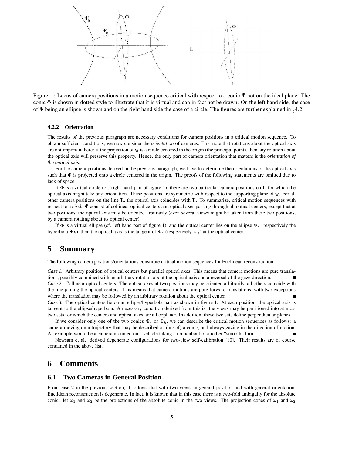

Figure 1: Locus of camera positions in a motion sequence critical with respect to a conic  $\Phi$  not on the ideal plane. The conic  $\Phi$  is shown in dotted style to illustrate that it is virtual and can in fact not be drawn. On the left hand side, the case of  $\Phi$  being an ellipse is shown and on the right hand side the case of a circle. The figures are further explained in  $\S 4.2$ .

#### **4.2.2 Orientation**

The results of the previous paragraph are necessary conditions for camera positions in a critical motion sequence. To obtain sufficient conditions, we now consider the *orientation* of cameras. First note that rotations about the optical axis are not important here: if the projection of  $\Phi$  is a circle centered in the origin (the principal point), then any rotation about the optical axis will preserve this property. Hence, the only part of camera orientation that matters is the *orientation of the optical axis*.

For the camera positions derived in the previous paragraph, we have to determine the orientations of the optical axis such that  $\Phi$  is projected onto a circle centered in the origin. The proofs of the following statements are omitted due to lack of space.

If  $\Phi$  is a virtual circle (cf. right hand part of figure 1), there are two particular camera positions on **L** for which the optical axis might take any orientation. These positions are symmetric with respect to the supporting plane of . For all other camera positions on the line  $L$ , the optical axis coincides with  $L$ . To summarize, critical motion sequences with respect to a *circle*  $\Phi$  consist of collinear optical centers and optical axes passing through all optical centers, except that at two positions, the optical axis may be oriented arbitrarily (even several views might be taken from these two positions, by a camera rotating about its optical center).

If  $\Phi$  is a virtual ellipse (cf. left hand part of figure 1), and the optical center lies on the ellipse  $\Psi_e$  (respectively the hyperbola  $\Psi_h$ ), then the optical axis is the tangent of  $\Psi_e$  (respectively  $\Psi_h$ ) at the optical center.

## **5 Summary**

The following camera positions/orientations constitute critical motion sequences for Euclidean reconstruction:

*Case 1.* Arbitrary position of optical centers but parallel optical axes. This means that camera motions are pure translations, possibly combined with an arbitrary rotation about the optical axis and a reversal of the gaze direction. *Case 2.* Collinear optical centers. The optical axes at two positions may be oriented arbitrarily, all others coincide with the line joining the optical centers. This means that camera motions are pure forward translations, with two exceptions where the translation may be followed by an arbitrary rotation about the optical center.

*Case 3.* The optical centers lie on an ellipse/hyperbola pair as shown in figure 1. At each position, the optical axis is tangent to the ellipse/hyperbola. A necessary condition derived from this is: the views may be partitioned into at most two sets for which the centers and optical axes are all coplanar. In addition, these two sets define perpendicular planes.

If we consider only one of the two conics  $\Psi_e$  or  $\Psi_h$ , we can describe the critical motion sequences as follows: a camera moving on a trajectory that may be described as (arc of) a conic, and always gazing in the direction of motion. An example would be a camera mounted on a vehicle taking a roundabout or another "smooth" turn.

Newsam et al. derived degenerate configurations for two-view self-calibration [10]. Their results are of course contained in the above list.

## **6 Comments**

#### **6.1 Two Cameras in General Position**

From case 2 in the previous section, it follows that with two views in general position and with general orientation, Euclidean reconstruction is degenerate. In fact, it is known that in this case there is a two-fold ambiguity for the absolute conic: let  $\omega_1$  and  $\omega_2$  be the projections of the absolute conic in the two views. The projection cones of  $\omega_1$  and  $\omega_2$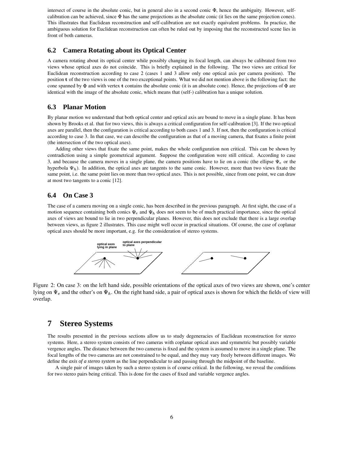intersect of course in the absolute conic, but in general also in a second conic  $\Phi$ , hence the ambiguity. However, selfcalibration can be achieved, since  $\Phi$  has the same projections as the absolute conic (it lies on the same projection cones). This illustrates that Euclidean reconstruction and self-calibration are not exactly equivalent problems. In practice, the ambiguous solution for Euclidean reconstruction can often be ruled out by imposing that the reconstructed scene lies in front of both cameras.

#### **6.2 Camera Rotating about its Optical Center**

A camera rotating about its optical center while possibly changing its focal length, can always be calibrated from two views whose optical axes do not coincide. This is briefly explained in the following. The two views are critical for Euclidean reconstruction according to case 2 (cases 1 and 3 allow only one optical axis per camera position). The position t of the two views is one of the two exceptional points. What we did not mention above is the following fact: the cone spanned by  $\Phi$  and with vertex **t** contains the absolute conic (it is an absolute cone). Hence, the projections of  $\Phi$  are identical with the image of the absolute conic, which means that (self-) calibration has a unique solution.

#### **6.3 Planar Motion**

By planar motion we understand that both optical center and optical axis are bound to move in a single plane. It has been shown by Brooks et al. that for two views, this is always a critical configuration for self-calibration [3]. If the two optical axes are parallel, then the configuration is critical according to both cases 1 and 3. If not, then the configuration is critical according to case 3. In that case, we can describe the configuration as that of a moving camera, that fixates a finite point (the intersection of the two optical axes).

Adding other views that fixate the same point, makes the whole configuration non critical. This can be shown by contradiction using a simple geometrical argument. Suppose the configuration were still critical. According to case 3, and because the camera moves in a single plane, the camera positions have to lie on a conic (the ellipse  $\Psi_e$  or the hyperbola  $\Psi_h$ ). In addition, the optical axes are tangents to the same conic. However, more than two views fixate the same point, i.e. the same point lies on more than two optical axes. This is not possible, since from one point, we can draw at most two tangents to a conic [12].

#### **6.4 On Case 3**

The case of a camera moving on a single conic, has been described in the previous paragraph. At first sight, the case of a motion sequence containing both conics  $\Psi_e$  and  $\Psi_h$  does not seem to be of much practical importance, since the optical axes of views are bound to lie in two perpendicular planes. However, this does not exclude that there is a large overlap between views, as figure 2 illustrates. This case might well occur in practical situations. Of course, the case of coplanar optical axes should be more important, e.g. for the consideration of stereo systems.



Figure 2: On case 3: on the left hand side, possible orientations of the optical axes of two views are shown, one's center lying on  $\Psi_e$  and the other's on  $\Psi_h$ . On the right hand side, a pair of optical axes is shown for which the fields of view will overlap.

# **7 Stereo Systems**

The results presented in the previous sections allow us to study degeneracies of Euclidean reconstruction for stereo systems. Here, a stereo system consists of two cameras with coplanar optical axes and symmetric but possibly variable vergence angles. The distance between the two cameras is fixed and the system is assumed to move in a single plane. The focal lengths of the two cameras are not constrained to be equal, and they may vary freely between different images. We define the *axis of a stereo system* as the line perpendicular to and passing through the midpoint of the baseline.

A single pair of images taken by such a stereo system is of course critical. In the following, we reveal the conditions for two stereo pairs being critical. This is done for the cases of fixed and variable vergence angles.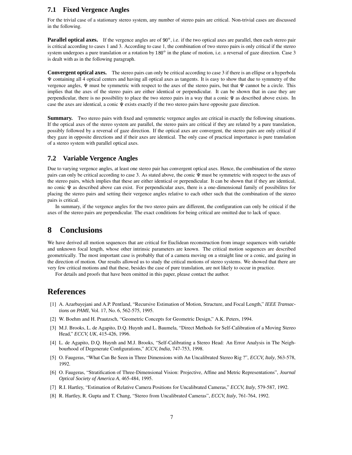### **7.1 Fixed Vergence Angles**

For the trivial case of a stationary stereo system, any number of stereo pairs are critical. Non-trivial cases are discussed in the following.

**Parallel optical axes.** If the vergence angles are of 90°, i.e. if the two optical axes are parallel, then each stereo pair is critical according to cases 1 and 3. According to case 1, the combination of two stereo pairs is only critical if the stereo system undergoes a pure translation or a rotation by  $180^\circ$  in the plane of motion, i.e. a reversal of gaze direction. Case 3 is dealt with as in the following paragraph.

**Convergent optical axes.** The stereo pairs can only be critical according to case 3 if there is an ellipse or a hyperbola containing all 4 optical centers and having all optical axes as tangents. It is easy to show that due to symmetry of the vergence angles,  $\Psi$  must be symmetric with respect to the axes of the stereo pairs, but that  $\Psi$  cannot be a circle. This implies that the axes of the stereo pairs are either identical or perpendicular. It can be shown that in case they are perpendicular, there is no possibility to place the two stereo pairs in a way that a conic  $\Psi$  as described above exists. In case the axes are identical, a conic  $\Psi$  exists exactly if the two stereo pairs have opposite gaze direction.

**Summary.** Two stereo pairs with fixed and symmetric vergence angles are critical in exactly the following situations. If the optical axes of the stereo system are parallel, the stereo pairs are critical if they are related by a pure translation, possibly followed by a reversal of gaze direction. If the optical axes are convergent, the stereo pairs are only critical if they gaze in opposite directions and if their axes are identical. The only case of practical importance is pure translation of a stereo system with parallel optical axes.

#### **7.2 Variable Vergence Angles**

Due to varying vergence angles, at least one stereo pair has convergent optical axes. Hence, the combination of the stereo pairs can only be critical according to case 3. As stated above, the conic  $\Psi$  must be symmetric with respect to the axes of the stereo pairs, which implies that these are either identical or perpendicular. It can be shown that if they are identical, no conic  $\Psi$  as described above can exist. For perpendicular axes, there is a one-dimensional family of possibilites for placing the stereo pairs and setting their vergence angles relative to each other such that the combination of the stereo pairs is critical.

In summary, if the vergence angles for the two stereo pairs are different, the configuration can only be critical if the axes of the stereo pairs are perpendicular. The exact conditions for being critical are omitted due to lack of space.

# **8 Conclusions**

We have derived all motion sequences that are critical for Euclidean reconstruction from image sequences with variable and unknown focal length, whose other intrinsic parameters are known. The critical motion sequences are described geometrically. The most important case is probably that of a camera moving on a straight line or a conic, and gazing in the direction of motion. Our results allowed us to study the critical motions of stereo systems. We showed that there are very few critical motions and that these, besides the case of pure translation, are not likely to occur in practice.

For details and proofs that have been omitted in this paper, please contact the author.

# **References**

- [1] A. Azarbayejani and A.P. Pentland, "Recursive Estimation of Motion, Structure, and Focal Length," *IEEE Transactions on PAMI*, Vol. 17, No. 6, 562-575, 1995.
- [2] W. Boehm and H. Prautzsch, "Geometric Concepts for Geometric Design," A.K. Peters, 1994.
- [3] M.J. Brooks, L. de Agapito, D.Q. Huynh and L. Baumela, "Direct Methods for Self-Calibration of a Moving Stereo Head," *ECCV, UK*, 415-426, 1996.
- [4] L. de Agapito, D.Q. Huynh and M.J. Brooks, "Self-Calibrating a Stereo Head: An Error Analysis in The Neighbourhood of Degenerate Configurations," *ICCV, India*, 747-753, 1998.
- [5] O. Faugeras, "What Can Be Seen in Three Dimensions with An Uncalibrated Stereo Rig ?", *ECCV, Italy*, 563-578, 1992.
- [6] O. Faugeras, "Stratification of Three-Dimensional Vision: Projective, Affine and Metric Representations", *Journal Optical Society of America A*, 465-484, 1995.
- [7] R.I. Hartley, "Estimation of Relative Camera Positions for Uncalibrated Cameras," *ECCV, Italy*, 579-587, 1992.
- [8] R. Hartley, R. Gupta and T. Chang, "Stereo from Uncalibrated Cameras", *ECCV, Italy*, 761-764, 1992.